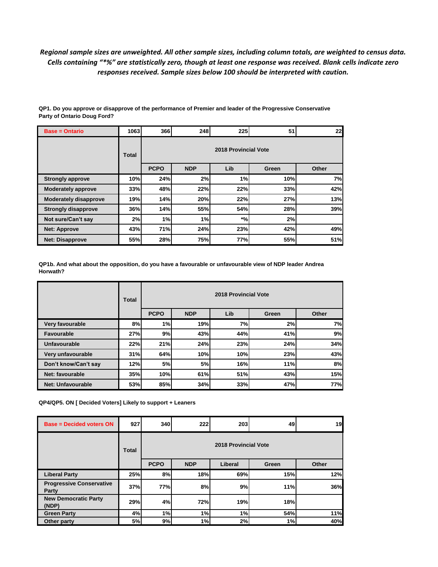## *Regional sample sizes are unweighted. All other sample sizes, including column totals, are weighted to census data. Cells containing "\*%" are statistically zero, though at least one response was received. Blank cells indicate zero responses received. Sample sizes below 100 should be interpreted with caution.*

| <b>Base = Ontario</b>        | 1063  | 366                  | 248        | 225   | 51    | 22    |  |  |  |  |
|------------------------------|-------|----------------------|------------|-------|-------|-------|--|--|--|--|
|                              | Total | 2018 Provincial Vote |            |       |       |       |  |  |  |  |
|                              |       | <b>PCPO</b>          | <b>NDP</b> | Lib   | Green | Other |  |  |  |  |
| <b>Strongly approve</b>      | 10%   | 24%                  | 2%         | 1%    | 10%   | 7%    |  |  |  |  |
| <b>Moderately approve</b>    | 33%   | 48%                  | 22%        | 22%   | 33%   | 42%   |  |  |  |  |
| <b>Moderately disapprove</b> | 19%   | 14%                  | 20%        | 22%   | 27%   | 13%   |  |  |  |  |
| <b>Strongly disapprove</b>   | 36%   | 14%                  | 55%        | 54%   | 28%   | 39%   |  |  |  |  |
| Not sure/Can't say           | 2%    | 1%                   | 1%         | $*o6$ | 2%    |       |  |  |  |  |
| <b>Net: Approve</b>          | 43%   | 71%                  | 24%        | 23%   | 42%   | 49%   |  |  |  |  |
| <b>Net: Disapprove</b>       | 55%   | 28%                  | 75%        | 77%   | 55%   | 51%   |  |  |  |  |

**QP1. Do you approve or disapprove of the performance of Premier and leader of the Progressive Conservative Party of Ontario Doug Ford?**

**QP1b. And what about the opposition, do you have a favourable or unfavourable view of NDP leader Andrea Horwath?**

|                          | Total | 2018 Provincial Vote |            |           |       |       |  |  |
|--------------------------|-------|----------------------|------------|-----------|-------|-------|--|--|
|                          |       | <b>PCPO</b>          | <b>NDP</b> | Lib       | Green | Other |  |  |
| Very favourable          | 8%    | 1%                   | 19%        | <b>7%</b> | 2%    | 7%    |  |  |
| <b>Favourable</b>        | 27%   | 9%                   | 43%        | 44%       | 41%   | 9%    |  |  |
| <b>Unfavourable</b>      | 22%   | 21%                  | 24%        | 23%       | 24%   | 34%   |  |  |
| Very unfavourable        | 31%   | 64%                  | 10%        | 10%       | 23%   | 43%   |  |  |
| Don't know/Can't say     | 12%   | <b>5%</b>            | 5%         | 16%       | 11%   | 8%    |  |  |
| Net: favourable          | 35%   | 10%                  | 61%        | 51%       | 43%   | 15%   |  |  |
| <b>Net: Unfavourable</b> | 53%   | 85%                  | 34%        | 33%       | 47%   | 77%   |  |  |

**QP4/QP5. ON [ Decided Voters] Likely to support + Leaners**

| <b>Base = Decided voters ON</b>          | 927   | 340         | <b>222</b> | 203                  | 49    | 19    |
|------------------------------------------|-------|-------------|------------|----------------------|-------|-------|
|                                          | Total |             |            | 2018 Provincial Vote |       |       |
|                                          |       | <b>PCPO</b> | <b>NDP</b> | Liberal              | Green | Other |
| <b>Liberal Party</b>                     | 25%   | 8%          | 18%        | 69%                  | 15%   | 12%   |
| <b>Progressive Conservative</b><br>Party | 37%   | 77%         | 8%         | 9%                   | 11%   | 36%   |
| <b>New Democratic Party</b><br>(NDP)     | 29%   | 4%          | 72%        | 19%                  | 18%   |       |
| <b>Green Party</b>                       | 4%    | 1%          | 1%         | 1%                   | 54%   | 11%   |
| Other party                              | 5%    | 9%          | 1%         | 2%                   | 1%    | 40%   |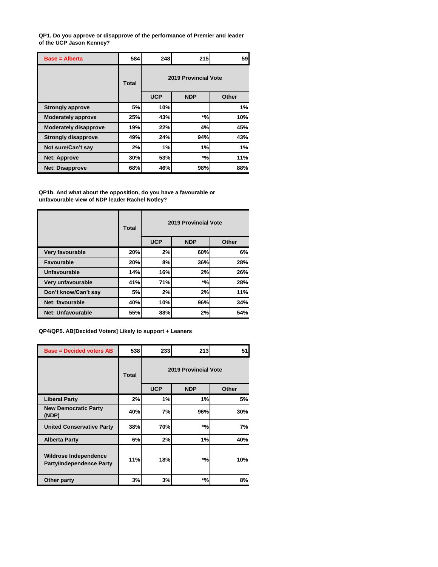**QP1. Do you approve or disapprove of the performance of Premier and leader of the UCP Jason Kenney?**

| $Base = Alberta$             | 584       | 248                  | 215        | 59    |  |  |
|------------------------------|-----------|----------------------|------------|-------|--|--|
|                              | Total     | 2019 Provincial Vote |            |       |  |  |
|                              |           | <b>UCP</b>           | <b>NDP</b> | Other |  |  |
| <b>Strongly approve</b>      | <b>5%</b> | 10%                  |            | 1%    |  |  |
| <b>Moderately approve</b>    | 25%       | 43%                  | $*$ %      | 10%   |  |  |
| <b>Moderately disapprove</b> | 19%       | 22%                  | 4%         | 45%   |  |  |
| <b>Strongly disapprove</b>   | 49%       | 24%                  | 94%        | 43%   |  |  |
| Not sure/Can't say           | 2%        | 1%                   | 1%         | 1%    |  |  |
| <b>Net: Approve</b>          | 30%       | 53%                  | $*$ %      | 11%   |  |  |
| <b>Net: Disapprove</b>       | 68%       | 46%                  | 98%        | 88%   |  |  |

**QP1b. And what about the opposition, do you have a favourable or unfavourable view of NDP leader Rachel Notley?**

|                      | <b>Total</b> | 2019 Provincial Vote |            |       |  |  |
|----------------------|--------------|----------------------|------------|-------|--|--|
|                      |              | <b>UCP</b>           | <b>NDP</b> | Other |  |  |
| Very favourable      | 20%          | 2%                   | 60%        | 6%    |  |  |
| Favourable           | 20%          | 8%                   | 36%        | 28%   |  |  |
| Unfavourable         | 14%          | 16%                  | 2%         | 26%   |  |  |
| Very unfavourable    | 41%          | 71%                  | $*$ %      | 28%   |  |  |
| Don't know/Can't say | 5%           | 2%                   | 2%         | 11%   |  |  |
| Net: favourable      | 40%          | 10%                  | 96%        | 34%   |  |  |
| Net: Unfavourable    | 55%          | 88%                  | 2%         | 54%   |  |  |

**QP4/QP5. AB[Decided Voters] Likely to support + Leaners**

| <b>Base = Decided voters AB</b>                          | 538          | 233                         | 213        | 51    |  |  |
|----------------------------------------------------------|--------------|-----------------------------|------------|-------|--|--|
|                                                          | <b>Total</b> | <b>2019 Provincial Vote</b> |            |       |  |  |
|                                                          |              | <b>UCP</b>                  | <b>NDP</b> | Other |  |  |
| <b>Liberal Party</b>                                     | 2%           | 1%                          | 1%         | 5%    |  |  |
| <b>New Democratic Party</b><br>(NDP)                     | 40%          | 7%                          | 96%        | 30%   |  |  |
| <b>United Conservative Party</b>                         | 38%          | 70%                         | *%         | 7%    |  |  |
| <b>Alberta Party</b>                                     | 6%           | 2%                          | 1%         | 40%   |  |  |
| Wildrose Independence<br><b>Party/Independence Party</b> | 11%          | 18%                         | $*$ %      | 10%   |  |  |
| Other party                                              | 3%           | 3%                          | $^{*0/0}$  | 8%    |  |  |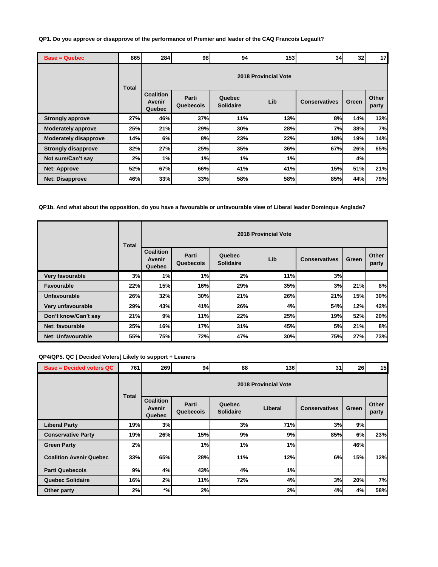**QP1. Do you approve or disapprove of the performance of Premier and leader of the CAQ Francois Legault?**

| <b>Base = Quebec</b>         | 865          | 284                                  | 98                 | 94                         | 153                  | 34                   | 32    | 17             |
|------------------------------|--------------|--------------------------------------|--------------------|----------------------------|----------------------|----------------------|-------|----------------|
|                              | <b>Total</b> |                                      |                    |                            | 2018 Provincial Vote |                      |       |                |
|                              |              | <b>Coalition</b><br>Avenir<br>Quebec | Parti<br>Quebecois | Quebec<br><b>Solidaire</b> | Lib                  | <b>Conservatives</b> | Green | Other<br>party |
| <b>Strongly approve</b>      | 27%          | 46%                                  | 37%                | 11%                        | 13%                  | 8%                   | 14%   | 13%            |
| <b>Moderately approve</b>    | 25%          | 21%                                  | 29%                | 30%                        | 28%                  | 7%                   | 38%   | 7%             |
| <b>Moderately disapprove</b> | 14%          | 6%                                   | 8%                 | 23%                        | 22%                  | 18%                  | 19%   | 14%            |
| <b>Strongly disapprove</b>   | 32%          | 27%                                  | 25%                | 35%                        | 36%                  | 67%                  | 26%   | 65%            |
| Not sure/Can't say           | 2%           | 1%                                   | 1%                 | 1%                         | 1%                   |                      | 4%    |                |
| <b>Net: Approve</b>          | 52%          | 67%                                  | 66%                | 41%                        | 41%                  | 15%                  | 51%   | 21%            |
| <b>Net: Disapprove</b>       | 46%          | 33%                                  | 33%                | 58%                        | 58%                  | 85%                  | 44%   | 79%            |

**QP1b. And what about the opposition, do you have a favourable or unfavourable view of Liberal leader Dominque Anglade?**

|                      | <b>Total</b> | 2018 Provincial Vote                 |                    |                            |     |                      |       |                |  |  |  |
|----------------------|--------------|--------------------------------------|--------------------|----------------------------|-----|----------------------|-------|----------------|--|--|--|
|                      |              | <b>Coalition</b><br>Avenir<br>Quebec | Parti<br>Quebecois | Quebec<br><b>Solidaire</b> | Lib | <b>Conservatives</b> | Green | Other<br>party |  |  |  |
| Very favourable      | 3%           | 1%                                   | 1%                 | 2%                         | 11% | 3%                   |       |                |  |  |  |
| <b>Favourable</b>    | 22%          | 15%                                  | 16%                | 29%                        | 35% | 3%                   | 21%   | 8%             |  |  |  |
| Unfavourable         | 26%          | 32%                                  | 30%                | 21%                        | 26% | 21%                  | 15%   | 30%            |  |  |  |
| Very unfavourable    | 29%          | 43%                                  | 41%                | 26%                        | 4%  | 54%                  | 12%   | 42%            |  |  |  |
| Don't know/Can't say | 21%          | 9%                                   | 11%                | 22%                        | 25% | 19%                  | 52%   | 20%            |  |  |  |
| Net: favourable      | 25%          | 16%                                  | 17%                | 31%                        | 45% | 5%                   | 21%   | 8%             |  |  |  |
| Net: Unfavourable    | 55%          | 75%                                  | 72%                | 47%                        | 30% | 75%                  | 27%   | 73%            |  |  |  |

## **QP4/QP5. QC [ Decided Voters] Likely to support + Leaners**

| <b>Base = Decided voters QC</b> | 761   | 269                                  | 94                   | 88                         | 136     | 31                   | 26    | 15             |  |  |  |  |
|---------------------------------|-------|--------------------------------------|----------------------|----------------------------|---------|----------------------|-------|----------------|--|--|--|--|
|                                 | Total |                                      | 2018 Provincial Vote |                            |         |                      |       |                |  |  |  |  |
|                                 |       | <b>Coalition</b><br>Avenir<br>Quebec | Parti<br>Quebecois   | Quebec<br><b>Solidaire</b> | Liberal | <b>Conservatives</b> | Green | Other<br>party |  |  |  |  |
| <b>Liberal Party</b>            | 19%   | 3%                                   |                      | 3%                         | 71%     | 3%                   | 9%    |                |  |  |  |  |
| <b>Conservative Party</b>       | 19%   | 26%                                  | 15%                  | 9%                         | 9%      | 85%                  | 6%    | 23%            |  |  |  |  |
| <b>Green Party</b>              | 2%    |                                      | 1%                   | 1%                         | 1%      |                      | 46%   |                |  |  |  |  |
| <b>Coalition Avenir Quebec</b>  | 33%   | 65%                                  | 28%                  | 11%                        | 12%     | 6%                   | 15%   | 12%            |  |  |  |  |
| <b>Parti Quebecois</b>          | 9%    | 4%                                   | 43%                  | 4%                         | 1%      |                      |       |                |  |  |  |  |
| <b>Quebec Solidaire</b>         | 16%   | 2%                                   | 11%                  | 72%                        | 4%      | 3%                   | 20%   | 7%             |  |  |  |  |
| Other party                     | 2%    | $*$ %                                | 2%                   |                            | 2%      | 4%                   | 4%    | 58%            |  |  |  |  |